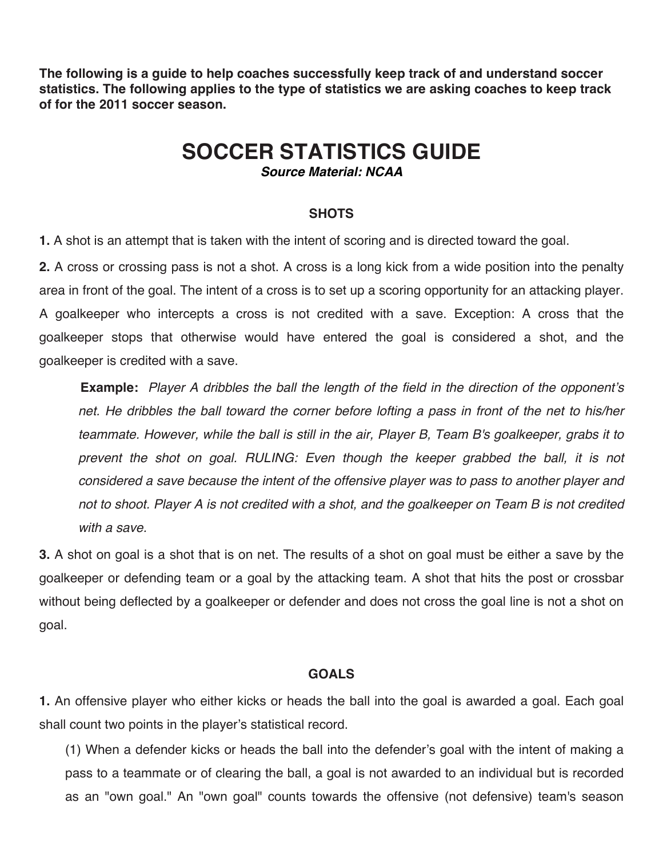**The following is a guide to help coaches successfully keep track of and understand soccer statistics. The following applies to the type of statistics we are asking coaches to keep track of for the 2011 soccer season.**

# **SOCCER STATISTICS GUIDE**

*Source Material: NCAA*

#### **SHOTS**

**1.** A shot is an attempt that is taken with the intent of scoring and is directed toward the goal.

**2.** A cross or crossing pass is not a shot. A cross is a long kick from a wide position into the penalty area in front of the goal. The intent of a cross is to set up a scoring opportunity for an attacking player. A goalkeeper who intercepts a cross is not credited with a save. Exception: A cross that the goalkeeper stops that otherwise would have entered the goal is considered a shot, and the goalkeeper is credited with a save.

**Example:** *Player A dribbles the ball the length of the field in the direction of the opponent*'*s net. He dribbles the ball toward the corner before lofting a pass in front of the net to his/her teammate. However, while the ball is still in the air, Player B, Team B's goalkeeper, grabs it to*  prevent the shot on goal. RULING: Even though the keeper grabbed the ball, it is not *considered a save because the intent of the offensive player was to pass to another player and not to shoot. Player A is not credited with a shot, and the goalkeeper on Team B is not credited with a save.*

**3.** A shot on goal is a shot that is on net. The results of a shot on goal must be either a save by the goalkeeper or defending team or a goal by the attacking team. A shot that hits the post or crossbar without being deflected by a goalkeeper or defender and does not cross the goal line is not a shot on goal.

#### **GOALS**

**1.** An offensive player who either kicks or heads the ball into the goal is awarded a goal. Each goal shall count two points in the player's statistical record.

(1) When a defender kicks or heads the ball into the defender's goal with the intent of making a pass to a teammate or of clearing the ball, a goal is not awarded to an individual but is recorded as an "own goal." An "own goal" counts towards the offensive (not defensive) team's season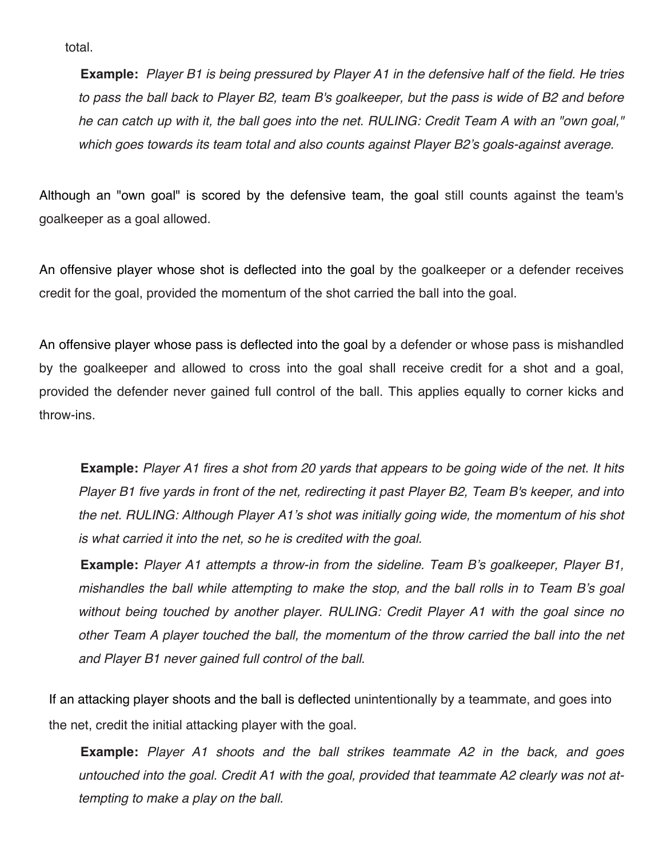total.

**Example:** *Player B1 is being pressured by Player A1 in the defensive half of the field. He tries to pass the ball back to Player B2, team B's goalkeeper, but the pass is wide of B2 and before he can catch up with it, the ball goes into the net. RULING: Credit Team A with an "own goal," which goes towards its team total and also counts against Player B2*'*s goals-against average.*

Although an "own goal" is scored by the defensive team, the goal still counts against the team's goalkeeper as a goal allowed.

An offensive player whose shot is deflected into the goal by the goalkeeper or a defender receives credit for the goal, provided the momentum of the shot carried the ball into the goal.

An offensive player whose pass is deflected into the goal by a defender or whose pass is mishandled by the goalkeeper and allowed to cross into the goal shall receive credit for a shot and a goal, provided the defender never gained full control of the ball. This applies equally to corner kicks and throw-ins.

**Example:** *Player A1 fires a shot from 20 yards that appears to be going wide of the net. It hits Player B1 five yards in front of the net, redirecting it past Player B2, Team B's keeper, and into the net. RULING: Although Player A1*'*s shot was initially going wide, the momentum of his shot is what carried it into the net, so he is credited with the goal.*

**Example:** *Player A1 attempts a throw-in from the sideline. Team B*'*s goalkeeper, Player B1, mishandles the ball while attempting to make the stop, and the ball rolls in to Team B*'*s goal without being touched by another player. RULING: Credit Player A1 with the goal since no other Team A player touched the ball, the momentum of the throw carried the ball into the net and Player B1 never gained full control of the ball.*

If an attacking player shoots and the ball is deflected unintentionally by a teammate, and goes into the net, credit the initial attacking player with the goal.

**Example:** *Player A1 shoots and the ball strikes teammate A2 in the back, and goes untouched into the goal. Credit A1 with the goal, provided that teammate A2 clearly was not attempting to make a play on the ball.*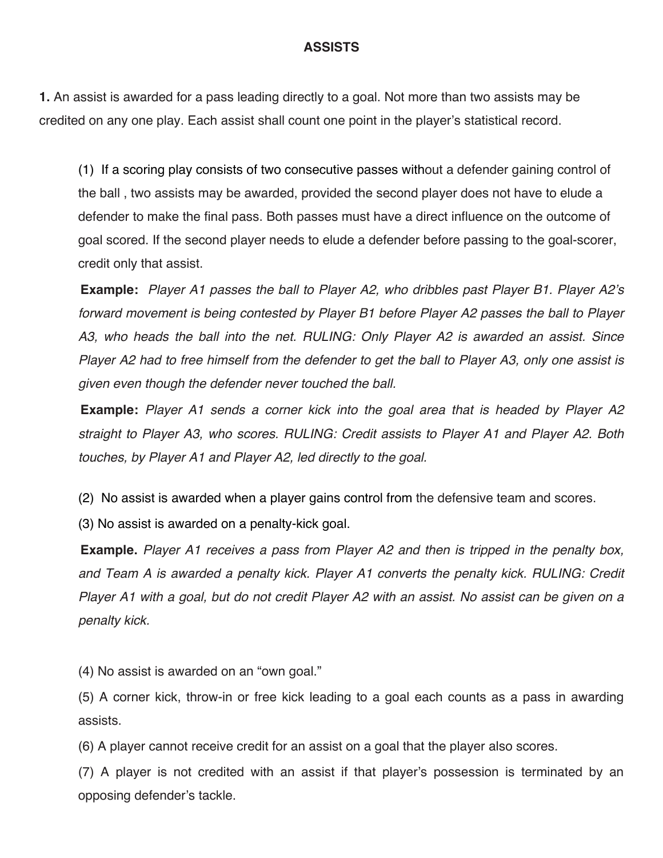#### **ASSISTS**

**1.** An assist is awarded for a pass leading directly to a goal. Not more than two assists may be credited on any one play. Each assist shall count one point in the player's statistical record.

(1) If a scoring play consists of two consecutive passes without a defender gaining control of the ball , two assists may be awarded, provided the second player does not have to elude a defender to make the final pass. Both passes must have a direct influence on the outcome of goal scored. If the second player needs to elude a defender before passing to the goal-scorer, credit only that assist.

**Example:** *Player A1 passes the ball to Player A2, who dribbles past Player B1. Player A2*'*s forward movement is being contested by Player B1 before Player A2 passes the ball to Player A3, who heads the ball into the net. RULING: Only Player A2 is awarded an assist. Since Player A2 had to free himself from the defender to get the ball to Player A3, only one assist is given even though the defender never touched the ball.*

**Example:** *Player A1 sends a corner kick into the goal area that is headed by Player A2 straight to Player A3, who scores. RULING: Credit assists to Player A1 and Player A2. Both touches, by Player A1 and Player A2, led directly to the goal.*

(2) No assist is awarded when a player gains control from the defensive team and scores.

(3) No assist is awarded on a penalty-kick goal.

**Example.** *Player A1 receives a pass from Player A2 and then is tripped in the penalty box, and Team A is awarded a penalty kick. Player A1 converts the penalty kick. RULING: Credit Player A1 with a goal, but do not credit Player A2 with an assist. No assist can be given on a penalty kick.*

(4) No assist is awarded on an "own goal."

(5) A corner kick, throw-in or free kick leading to a goal each counts as a pass in awarding assists.

(6) A player cannot receive credit for an assist on a goal that the player also scores.

(7) A player is not credited with an assist if that player's possession is terminated by an opposing defender's tackle.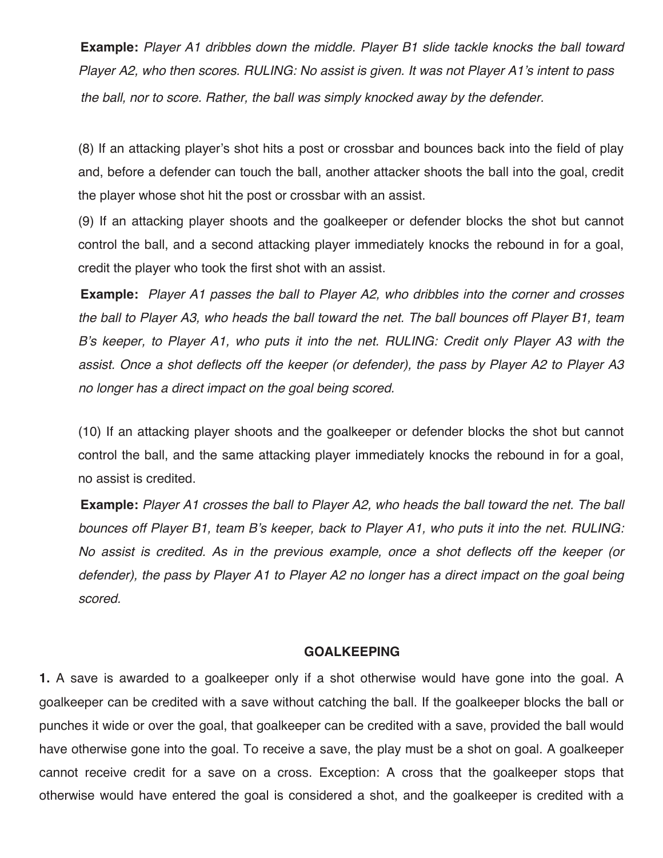**Example:** *Player A1 dribbles down the middle. Player B1 slide tackle knocks the ball toward Player A2, who then scores. RULING: No assist is given. It was not Player A1*'*s intent to pass the ball, nor to score. Rather, the ball was simply knocked away by the defender.*

(8) If an attacking player's shot hits a post or crossbar and bounces back into the field of play and, before a defender can touch the ball, another attacker shoots the ball into the goal, credit the player whose shot hit the post or crossbar with an assist.

(9) If an attacking player shoots and the goalkeeper or defender blocks the shot but cannot control the ball, and a second attacking player immediately knocks the rebound in for a goal, credit the player who took the first shot with an assist.

**Example:** *Player A1 passes the ball to Player A2, who dribbles into the corner and crosses the ball to Player A3, who heads the ball toward the net. The ball bounces off Player B1, team B*'*s keeper, to Player A1, who puts it into the net. RULING: Credit only Player A3 with the assist. Once a shot deflects off the keeper (or defender), the pass by Player A2 to Player A3 no longer has a direct impact on the goal being scored.*

(10) If an attacking player shoots and the goalkeeper or defender blocks the shot but cannot control the ball, and the same attacking player immediately knocks the rebound in for a goal, no assist is credited.

**Example:** *Player A1 crosses the ball to Player A2, who heads the ball toward the net. The ball bounces off Player B1, team B*'*s keeper, back to Player A1, who puts it into the net. RULING: No assist is credited. As in the previous example, once a shot deflects off the keeper (or defender), the pass by Player A1 to Player A2 no longer has a direct impact on the goal being scored.* 

#### **GOALKEEPING**

**1.** A save is awarded to a goalkeeper only if a shot otherwise would have gone into the goal. A goalkeeper can be credited with a save without catching the ball. If the goalkeeper blocks the ball or punches it wide or over the goal, that goalkeeper can be credited with a save, provided the ball would have otherwise gone into the goal. To receive a save, the play must be a shot on goal. A goalkeeper cannot receive credit for a save on a cross. Exception: A cross that the goalkeeper stops that otherwise would have entered the goal is considered a shot, and the goalkeeper is credited with a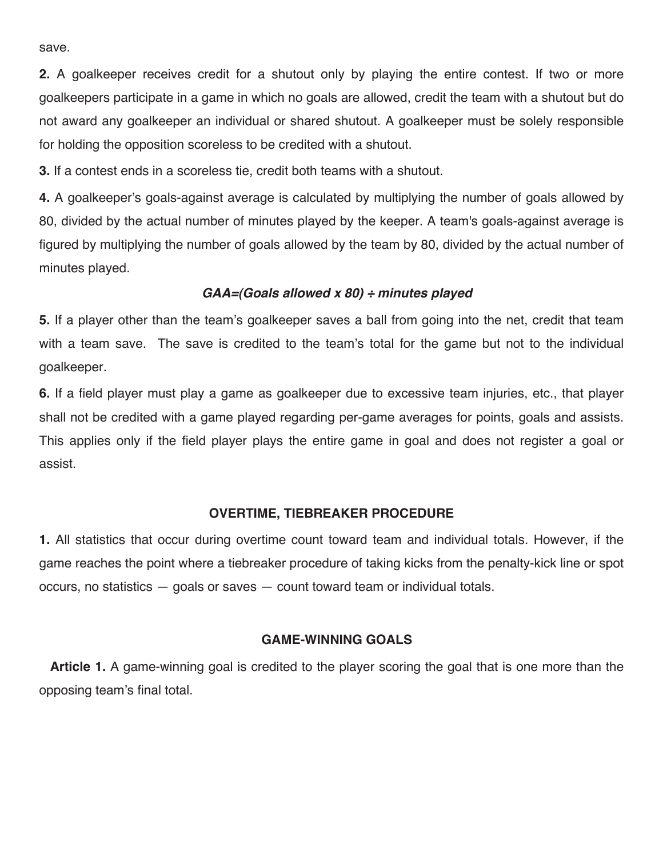save.

**2.** A goalkeeper receives credit for a shutout only by playing the entire contest. If two or more goalkeepers participate in a game in which no goals are allowed, credit the team with a shutout but do not award any goalkeeper an individual or shared shutout. A goalkeeper must be solely responsible for holding the opposition scoreless to be credited with a shutout.

**3.** If a contest ends in a scoreless tie, credit both teams with a shutout.

**4.** A goalkeeper's goals-against average is calculated by multiplying the number of goals allowed by 80, divided by the actual number of minutes played by the keeper. A team's goals-against average is figured by multiplying the number of goals allowed by the team by 80, divided by the actual number of minutes played.

#### *GAA=(Goals allowed x 80) ÷ minutes played*

**5.** If a player other than the team's goalkeeper saves a ball from going into the net, credit that team with a team save. The save is credited to the team's total for the game but not to the individual goalkeeper.

**6.** If a field player must play a game as goalkeeper due to excessive team injuries, etc., that player shall not be credited with a game played regarding per-game averages for points, goals and assists. This applies only if the field player plays the entire game in goal and does not register a goal or assist.

#### **OVERTIME, TIEBREAKER PROCEDURE**

**1.** All statistics that occur during overtime count toward team and individual totals. However, if the game reaches the point where a tiebreaker procedure of taking kicks from the penalty-kick line or spot occurs, no statistics — goals or saves — count toward team or individual totals.

#### **GAME-WINNING GOALS**

**Article 1.** A game-winning goal is credited to the player scoring the goal that is one more than the opposing team's final total.